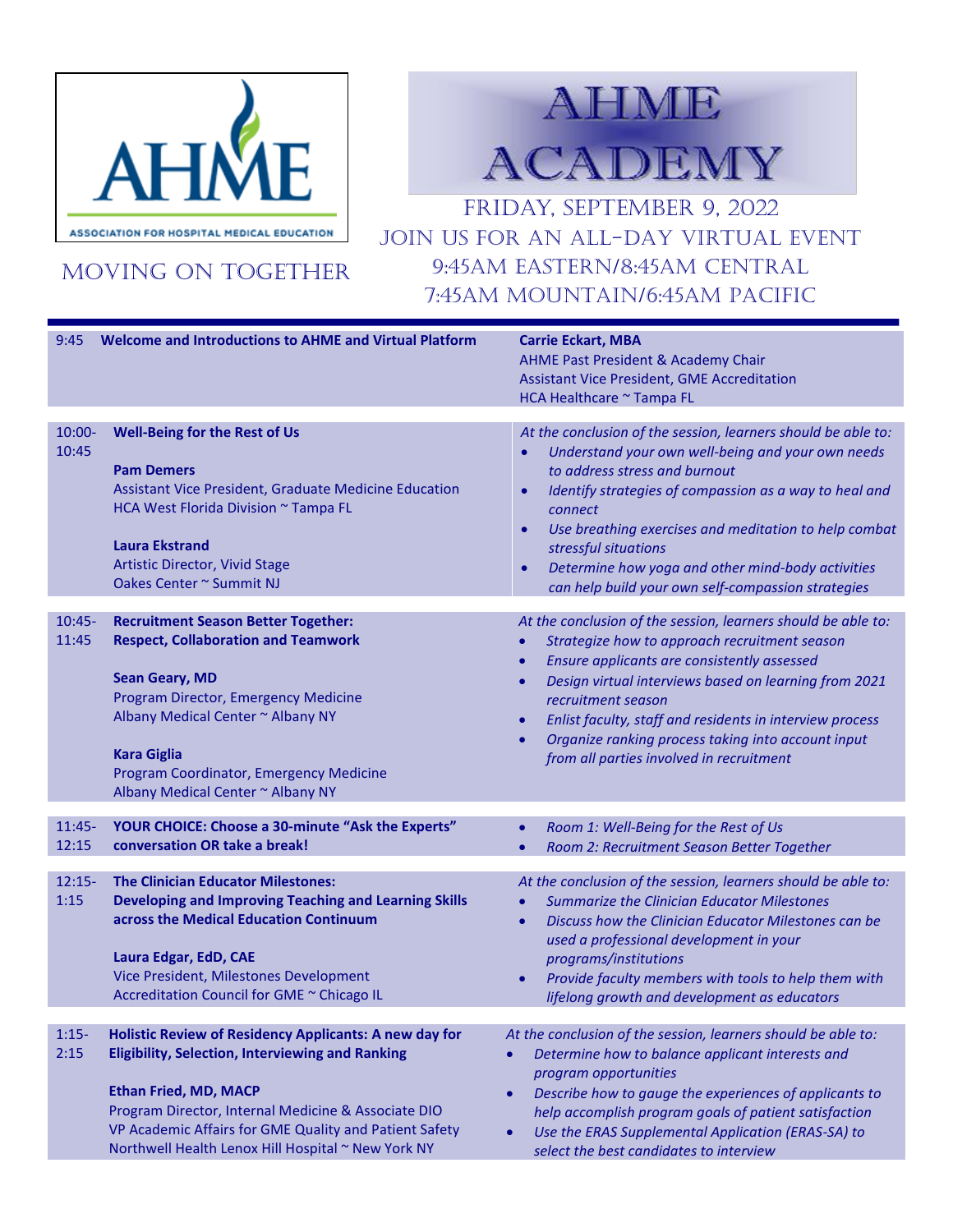

MOVING ON TOGETHER

## **AHME ACADEMY**

FRIDAY, September 9, 2022 JOIN US FOR AN ALL-DAY VIRTUAL EVENT 9:45am Eastern/8:45am Central 7:45am Mountain/6:45am pacific

| 9:45               | <b>Welcome and Introductions to AHME and Virtual Platform</b>                                                                                                                                                                                                                                                            | <b>Carrie Eckart, MBA</b><br><b>AHME Past President &amp; Academy Chair</b><br><b>Assistant Vice President, GME Accreditation</b><br>HCA Healthcare ~ Tampa FL                                                                                                                                                                                                                                                                                 |
|--------------------|--------------------------------------------------------------------------------------------------------------------------------------------------------------------------------------------------------------------------------------------------------------------------------------------------------------------------|------------------------------------------------------------------------------------------------------------------------------------------------------------------------------------------------------------------------------------------------------------------------------------------------------------------------------------------------------------------------------------------------------------------------------------------------|
| $10:00 -$<br>10:45 | <b>Well-Being for the Rest of Us</b><br><b>Pam Demers</b><br>Assistant Vice President, Graduate Medicine Education<br>HCA West Florida Division ~ Tampa FL<br><b>Laura Ekstrand</b><br><b>Artistic Director, Vivid Stage</b><br>Oakes Center ~ Summit NJ                                                                 | At the conclusion of the session, learners should be able to:<br>Understand your own well-being and your own needs<br>to address stress and burnout<br>Identify strategies of compassion as a way to heal and<br>connect<br>Use breathing exercises and meditation to help combat<br>$\bullet$<br>stressful situations<br>Determine how yoga and other mind-body activities<br>$\bullet$<br>can help build your own self-compassion strategies |
| $10:45-$<br>11:45  | <b>Recruitment Season Better Together:</b><br><b>Respect, Collaboration and Teamwork</b><br><b>Sean Geary, MD</b><br>Program Director, Emergency Medicine<br>Albany Medical Center ~ Albany NY<br><b>Kara Giglia</b><br>Program Coordinator, Emergency Medicine<br>Albany Medical Center ~ Albany NY                     | At the conclusion of the session, learners should be able to:<br>Strategize how to approach recruitment season<br>Ensure applicants are consistently assessed<br>$\bullet$<br>Design virtual interviews based on learning from 2021<br>$\bullet$<br>recruitment season<br>Enlist faculty, staff and residents in interview process<br>Organize ranking process taking into account input<br>from all parties involved in recruitment           |
| $11:45-$<br>12:15  | YOUR CHOICE: Choose a 30-minute "Ask the Experts"<br>conversation OR take a break!                                                                                                                                                                                                                                       | Room 1: Well-Being for the Rest of Us<br>Room 2: Recruitment Season Better Together                                                                                                                                                                                                                                                                                                                                                            |
| $12:15-$<br>1:15   | <b>The Clinician Educator Milestones:</b><br><b>Developing and Improving Teaching and Learning Skills</b><br>across the Medical Education Continuum<br>Laura Edgar, EdD, CAE<br>Vice President, Milestones Development<br>Accreditation Council for GME ~ Chicago IL                                                     | At the conclusion of the session, learners should be able to:<br><b>Summarize the Clinician Educator Milestones</b><br>Discuss how the Clinician Educator Milestones can be<br>$\bullet$<br>used a professional development in your<br>programs/institutions<br>Provide faculty members with tools to help them with<br>$\bullet$<br>lifelong growth and development as educators                                                              |
| $1:15-$<br>2:15    | Holistic Review of Residency Applicants: A new day for<br><b>Eligibility, Selection, Interviewing and Ranking</b><br><b>Ethan Fried, MD, MACP</b><br>Program Director, Internal Medicine & Associate DIO<br>VP Academic Affairs for GME Quality and Patient Safety<br>Northwell Health Lenox Hill Hospital ~ New York NY | At the conclusion of the session, learners should be able to:<br>Determine how to balance applicant interests and<br>program opportunities<br>Describe how to gauge the experiences of applicants to<br>$\bullet$<br>help accomplish program goals of patient satisfaction<br>Use the ERAS Supplemental Application (ERAS-SA) to<br>$\bullet$<br>select the best candidates to interview                                                       |